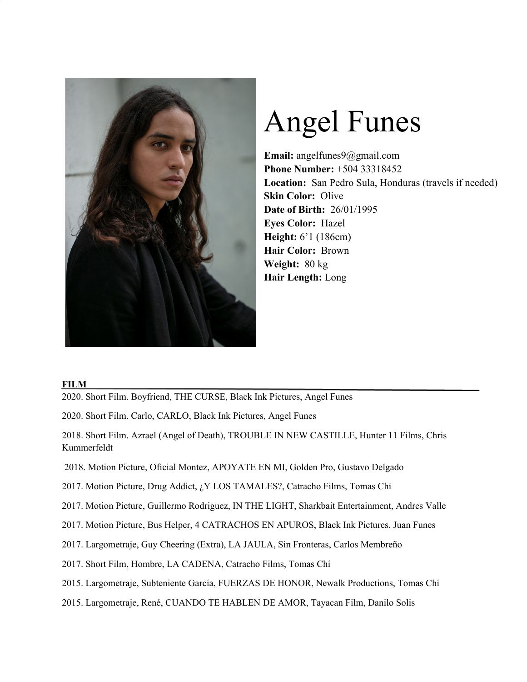

# Angel Funes

**Email:** angelfunes9@gmail.com **Phone Number:** +504 33318452 **Location:** San Pedro Sula, Honduras (travels if needed) **Skin Color:** Olive **Date of Birth:** 26/01/1995 **Eyes Color:** Hazel **Height:** 6'1 (186cm) **Hair Color:** Brown **Weight:** 80 kg **Hair Length:** Long

## **FILM**

2020. Short Film. Boyfriend, THE CURSE, Black Ink Pictures, Angel Funes

2020. Short Film. Carlo, CARLO, Black Ink Pictures, Angel Funes

2018. Short Film. Azrael (Angel of Death), TROUBLE IN NEW CASTILLE, Hunter 11 Films, Chris Kummerfeldt

- 2018. Motion Picture, Oficial Montez, APOYATE EN MI, Golden Pro, Gustavo Delgado
- 2017. Motion Picture, Drug Addict, ¿Y LOS TAMALES?, Catracho Films, Tomas Chí
- 2017. Motion Picture, Guillermo Rodriguez, IN THE LIGHT, Sharkbait Entertainment, Andres Valle
- 2017. Motion Picture, Bus Helper, 4 CATRACHOS EN APUROS, Black Ink Pictures, Juan Funes
- 2017. Largometraje, Guy Cheering (Extra), LA JAULA, Sin Fronteras, Carlos Membreño
- 2017. Short Film, Hombre, LA CADENA, Catracho Films, Tomas Chí
- 2015. Largometraje, Subteniente García, FUERZAS DE HONOR, Newalk Productions, Tomas Chí
- 2015. Largometraje, René, CUANDO TE HABLEN DE AMOR, Tayacan Film, Danilo Solis